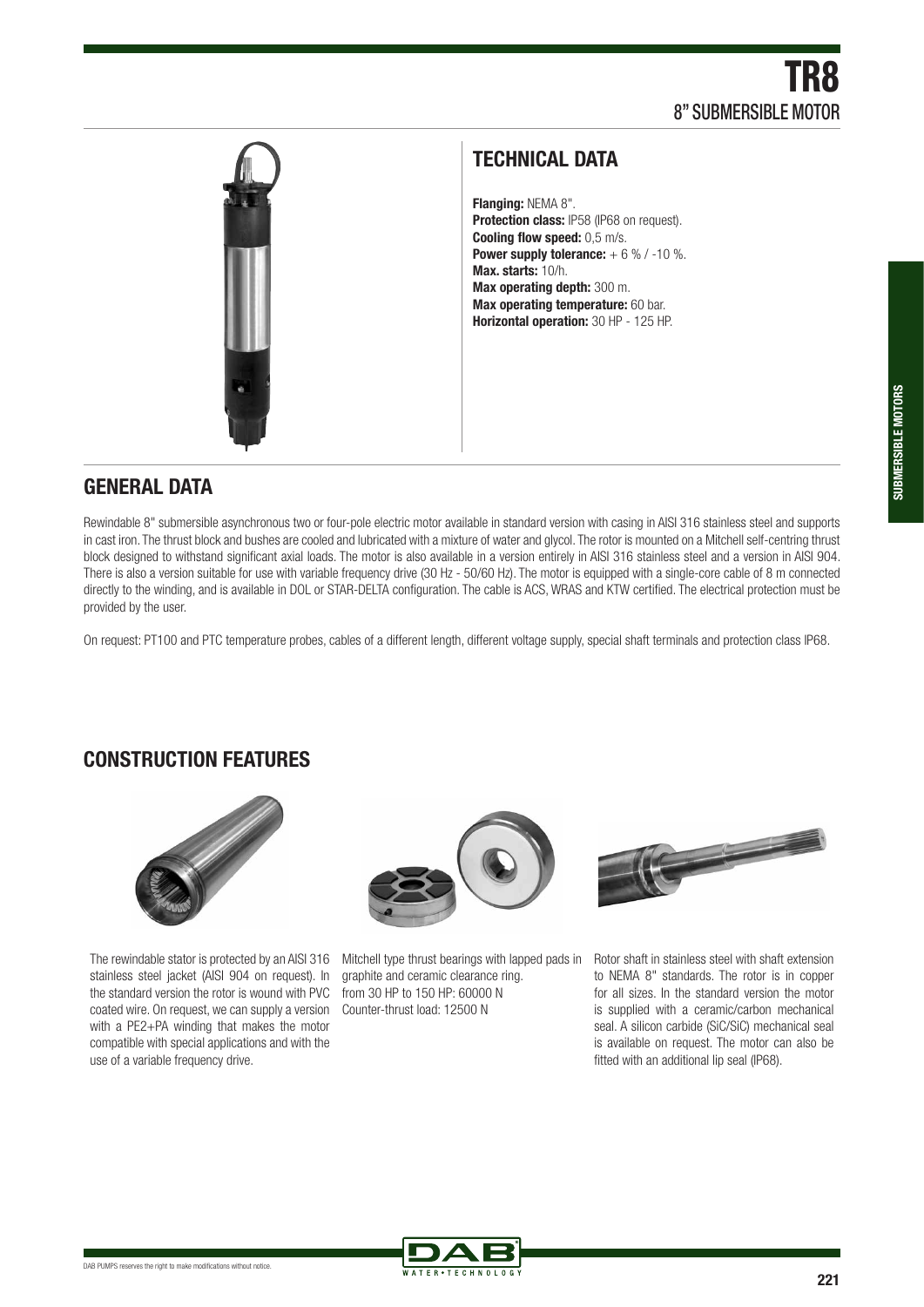

### **TECHNICAL DATA**

**Flanging:** NEMA 8". **Protection class: IP58 (IP68 on request). Cooling flow speed:** 0,5 m/s. **Power supply tolerance:**  $+ 6 % / -10 %$ . **Max. starts:** 10/h. **Max operating depth:** 300 m. **Max operating temperature:** 60 bar. **Horizontal operation:** 30 HP - 125 HP.

#### **GENERAL DATA**

Rewindable 8" submersible asynchronous two or four-pole electric motor available in standard version with casing in AISI 316 stainless steel and supports in cast iron. The thrust block and bushes are cooled and lubricated with a mixture of water and glycol. The rotor is mounted on a Mitchell self-centring thrust block designed to withstand significant axial loads. The motor is also available in a version entirely in AISI 316 stainless steel and a version in AISI 904. There is also a version suitable for use with variable frequency drive (30 Hz - 50/60 Hz). The motor is equipped with a single-core cable of 8 m connected directly to the winding, and is available in DOL or STAR-DELTA configuration. The cable is ACS, WRAS and KTW certified. The electrical protection must be provided by the user.

On request: PT100 and PTC temperature probes, cables of a different length, different voltage supply, special shaft terminals and protection class IP68.

# **CONSTRUCTION FEATURES**



The rewindable stator is protected by an AISI 316 Mitchell type thrust bearings with lapped pads in stainless steel jacket (AISI 904 on request). In the standard version the rotor is wound with PVC coated wire. On request, we can supply a version with a PE2+PA winding that makes the motor compatible with special applications and with the use of a variable frequency drive.



graphite and ceramic clearance ring. from 30 HP to 150 HP: 60000 N Counter-thrust load: 12500 N



Rotor shaft in stainless steel with shaft extension to NEMA 8" standards. The rotor is in copper for all sizes. In the standard version the motor is supplied with a ceramic/carbon mechanical seal. A silicon carbide (SiC/SiC) mechanical seal is available on request. The motor can also be fitted with an additional lip seal (IP68).

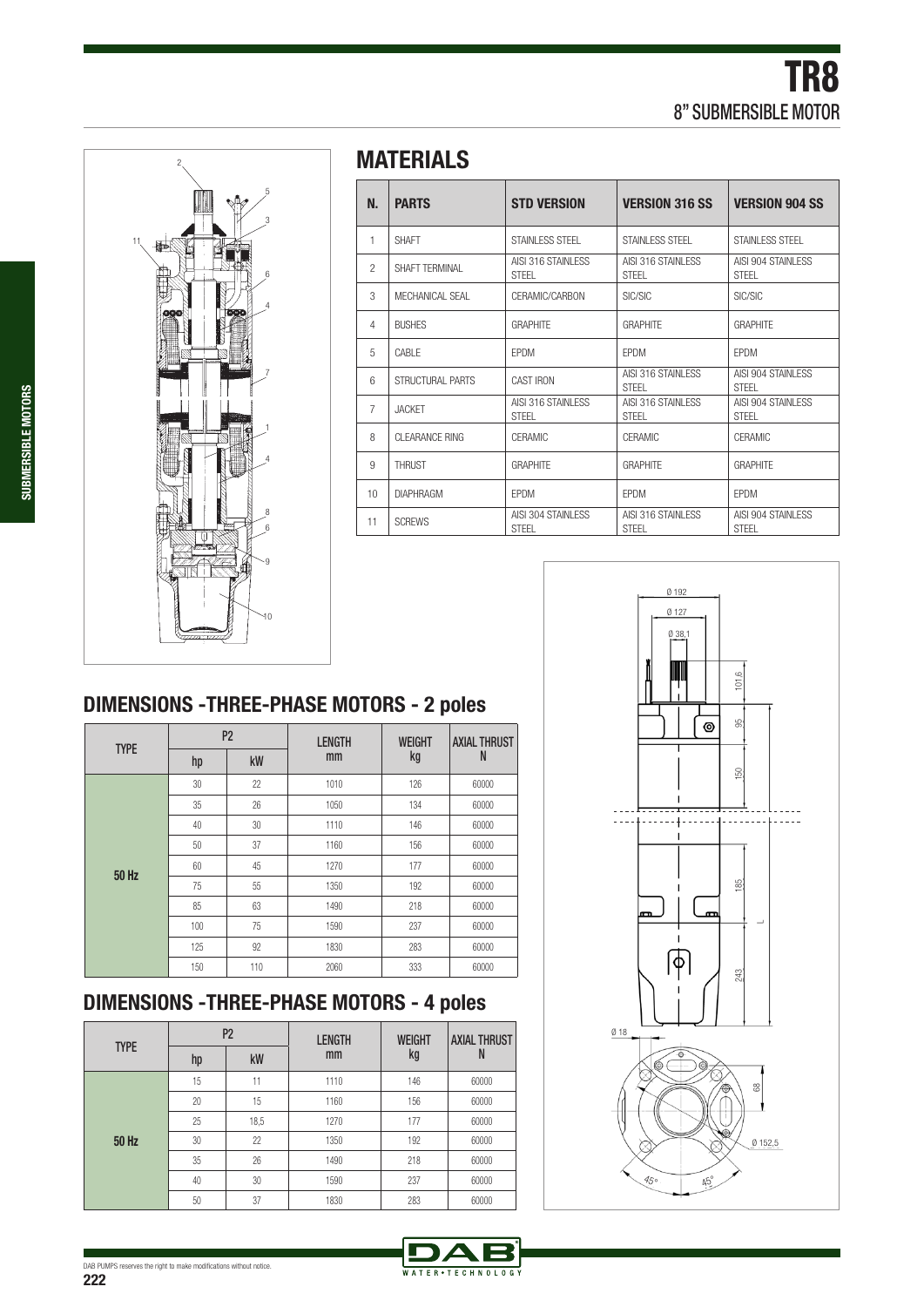

# **MATERIALS**

| N.             | <b>PARTS</b>     | <b>STD VERSION</b>                  | <b>VERSION 316 SS</b>               | <b>VERSION 904 SS</b>               |  |
|----------------|------------------|-------------------------------------|-------------------------------------|-------------------------------------|--|
| 1              | <b>SHAFT</b>     | STAINI FSS STFFI                    | STAINI FSS STFFI                    | STAINI FSS STFFI                    |  |
| $\mathfrak{p}$ | SHAFT TFRMINAL   | AISI 316 STAINI FSS<br><b>STFFI</b> | AISI 316 STAINI FSS<br><b>STFFI</b> | AISI 904 STAINI FSS<br><b>STFFI</b> |  |
| 3              | MECHANICAL SEAL  | CERAMIC/CARBON                      | SIC/SIC                             | SIC/SIC                             |  |
| $\overline{4}$ | <b>BUSHES</b>    | <b>GRAPHITF</b>                     | <b>GRAPHITF</b>                     | <b>GRAPHITF</b>                     |  |
| 5              | CABI F           | <b>FPDM</b>                         | <b>FPDM</b>                         | <b>FPDM</b>                         |  |
| 6              | STRUCTURAL PARTS | <b>CAST IRON</b>                    | AISI 316 STAINI FSS<br><b>STFFI</b> | AISI 904 STAINI FSS<br><b>STFFI</b> |  |
| $\overline{7}$ | <b>JACKFT</b>    | AISI 316 STAINI FSS<br><b>STFFI</b> | AISI 316 STAINI FSS<br><b>STFFI</b> | AISI 904 STAINI FSS<br><b>STFFI</b> |  |
| 8              | CI FARANCE RING  | <b>CFRAMIC</b>                      | <b>CFRAMIC</b>                      | <b>CFRAMIC</b>                      |  |
| 9              | <b>THRUST</b>    | <b>GRAPHITF</b>                     | <b>GRAPHITF</b>                     | <b>GRAPHITF</b>                     |  |
| 10             | <b>DIAPHRAGM</b> | <b>FPDM</b>                         | <b>FPDM</b>                         | <b>FPDM</b>                         |  |
| 11             | <b>SCREWS</b>    | AISI 304 STAINI FSS<br><b>STFFI</b> | AISI 316 STAINI FSS<br><b>STFFI</b> | AISI 904 STAINI FSS<br><b>STFFI</b> |  |

# **DIMENSIONS -THREE-PHASE MOTORS - 2 poles**

|             |     | P <sub>2</sub> | <b>LENGTH</b> | <b>WEIGHT</b> | <b>AXIAL THRUST</b><br>N |  |
|-------------|-----|----------------|---------------|---------------|--------------------------|--|
| <b>TYPE</b> | hp  | kW             | mm            | kg            |                          |  |
|             | 30  | 22             | 1010          | 126           | 60000                    |  |
|             | 35  | 26             | 1050          | 134           | 60000                    |  |
|             | 40  | 30             | 1110          | 146           | 60000                    |  |
|             | 50  | 37             | 1160          | 156           | 60000                    |  |
| 50 Hz       | 60  | 45             | 1270          | 177           | 60000                    |  |
|             | 75  | 55             | 1350          | 192           | 60000                    |  |
|             | 85  | 63             | 1490          | 218           | 60000                    |  |
|             | 100 | 75             | 1590          | 237           | 60000                    |  |
|             | 125 | 92             | 1830          | 283           | 60000                    |  |
|             | 150 | 110            | 2060          | 333           | 60000                    |  |

# **DIMENSIONS -THREE-PHASE MOTORS - 4 poles**

|             |    | P <sub>2</sub> | <b>LENGTH</b> | <b>WEIGHT</b> | <b>AXIAL THRUST</b><br>N |  |
|-------------|----|----------------|---------------|---------------|--------------------------|--|
| <b>TYPE</b> | hp | kW             | mm            | kg            |                          |  |
|             | 15 | 11             | 1110          | 146           | 60000                    |  |
|             | 20 | 15             | 1160          | 156           | 60000                    |  |
|             | 25 | 18,5           | 1270          | 177           | 60000                    |  |
| 50 Hz       | 30 | 22             | 1350          | 192           | 60000                    |  |
|             | 35 | 26             | 1490          | 218           | 60000                    |  |
|             | 40 | 30             | 1590          | 237           | 60000                    |  |
|             | 50 | 37             | 1830          | 283           | 60000                    |  |